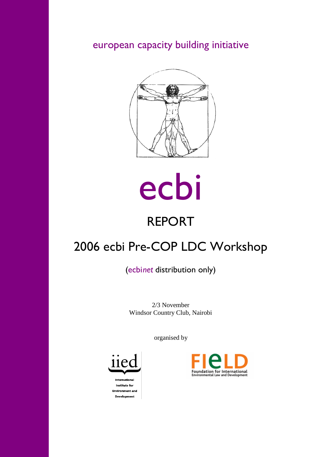european capacity building initiative





# REPORT

# 2006 ecbi Pre-COP LDC Workshop

(ecbi*net* distribution only)

2/3 November Windsor Country Club, Nairobi

organised by



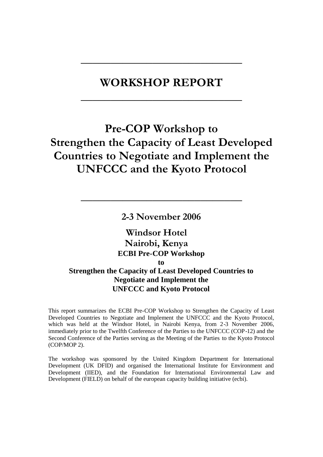## **WORKSHOP REPORT**

**\_\_\_\_\_\_\_\_\_\_\_\_\_\_\_\_\_\_\_\_\_\_\_\_\_\_\_**

**\_\_\_\_\_\_\_\_\_\_\_\_\_\_\_\_\_\_\_\_\_\_\_\_\_\_\_**

## **Pre-COP Workshop to Strengthen the Capacity of Least Developed Countries to Negotiate and Implement the UNFCCC and the Kyoto Protocol**

**2-3 November 2006**

**\_\_\_\_\_\_\_\_\_\_\_\_\_\_\_\_\_\_\_\_\_\_\_\_\_\_\_**

## **Windsor Hotel Nairobi, Kenya ECBI Pre-COP Workshop to Strengthen the Capacity of Least Developed Countries to Negotiate and Implement the UNFCCC and Kyoto Protocol**

This report summarizes the ECBI Pre-COP Workshop to Strengthen the Capacity of Least Developed Countries to Negotiate and Implement the UNFCCC and the Kyoto Protocol, which was held at the Windsor Hotel, in Nairobi Kenya, from 2-3 November 2006, immediately prior to the Twelfth Conference of the Parties to the UNFCCC (COP-12) and the Second Conference of the Parties serving as the Meeting of the Parties to the Kyoto Protocol (COP/MOP 2).

The workshop was sponsored by the United Kingdom Department for International Development (UK DFID) and organised the International Institute for Environment and Development (IIED), and the Foundation for International Environmental Law and Development (FIELD) on behalf of the european capacity building initiative (ecbi).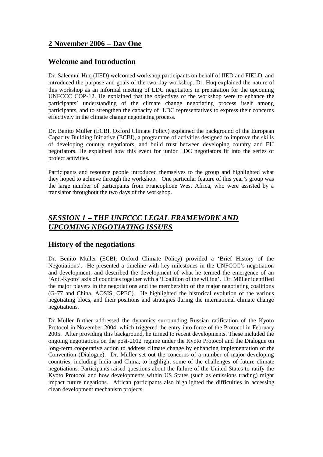## **2 November 2006 – Day One**

## **Welcome and Introduction**

Dr. Saleemul Huq (IIED) welcomed workshop participants on behalf of IIED and FIELD, and introduced the purpose and goals of the two-day workshop. Dr. Huq explained the nature of this workshop as an informal meeting of LDC negotiators in preparation for the upcoming UNFCCC COP-12. He explained that the objectives of the workshop were to enhance the participants' understanding of the climate change negotiating process itself among participants, and to strengthen the capacity of LDC representatives to express their concerns effectively in the climate change negotiating process.

Dr. Benito Müller (ECBI, Oxford Climate Policy) explained the background of the European Capacity Building Initiative (ECBI), a programme of activities designed to improve the skills of developing country negotiators, and build trust between developing country and EU negotiators. He explained how this event for junior LDC negotiators fit into the series of project activities.

Participants and resource people introduced themselves to the group and highlighted what they hoped to achieve through the workshop. One particular feature of this year's group was the large number of participants from Francophone West Africa, who were assisted by a translator throughout the two days of the workshop.

## *SESSION 1 – THE UNFCCC LEGAL FRAMEWORK AND UPCOMING NEGOTIATING ISSUES*

### **History of the negotiations**

Dr. Benito Müller (ECBI, Oxford Climate Policy) provided a 'Brief History of the Negotiations'. He presented a timeline with key milestones in the UNFCCC's negotiation and development, and described the development of what he termed the emergence of an 'Anti-Kyoto' axis of countries together with a 'Coalition of the willing'. Dr. Müller identified the major players in the negotiations and the membership of the major negotiating coalitions (G-77 and China, AOSIS, OPEC). He highlighted the historical evolution of the various negotiating blocs, and their positions and strategies during the international climate change negotiations.

Dr Müller further addressed the dynamics surrounding Russian ratification of the Kyoto Protocol in November 2004, which triggered the entry into force of the Protocol in February 2005. After providing this background, he turned to recent developments. These included the ongoing negotiations on the post-2012 regime under the Kyoto Protocol and the Dialogue on long-term cooperative action to address climate change by enhancing implementation of the Convention (Dialogue). Dr. Müller set out the concerns of a number of major developing countries, including India and China, to highlight some of the challenges of future climate negotiations. Participants raised questions about the failure of the United States to ratify the Kyoto Protocol and how developments within US States (such as emissions trading) might impact future negations. African participants also highlighted the difficulties in accessing clean development mechanism projects.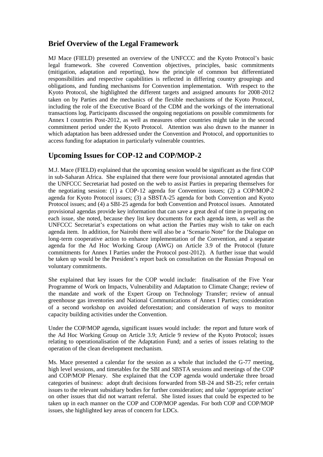## **Brief Overview of the Legal Framework**

MJ Mace (FIELD) presented an overview of the UNFCCC and the Kyoto Protocol's basic legal framework. She covered Convention objectives, principles, basic commitments (mitigation, adaptation and reporting), how the principle of common but differentiated responsibilities and respective capabilities is reflected in differing country groupings and obligations, and funding mechanisms for Convention implementation. With respect to the Kyoto Protocol, she highlighted the different targets and assigned amounts for 2008-2012 taken on by Parties and the mechanics of the flexible mechanisms of the Kyoto Protocol, including the role of the Executive Board of the CDM and the workings of the international transactions log. Participants discussed the ongoing negotiations on possible commitments for Annex I countries Post-2012, as well as measures other countries might take in the second commitment period under the Kyoto Protocol. Attention was also drawn to the manner in which adaptation has been addressed under the Convention and Protocol, and opportunities to access funding for adaptation in particularly vulnerable countries.

## **Upcoming Issues for COP-12 and COP/MOP-2**

M.J. Mace (FIELD) explained that the upcoming session would be significant as the first COP in sub-Saharan Africa. She explained that there were four provisional annotated agendas that the UNFCCC Secretariat had posted on the web to assist Parties in preparing themselves for the negotiating session: (1) a COP-12 agenda for Convention issues; (2) a COP/MOP-2 agenda for Kyoto Protocol issues; (3) a SBSTA-25 agenda for both Convention and Kyoto Protocol issues; and (4) a SBI-25 agenda for both Convention and Protocol issues. Annotated provisional agendas provide key information that can save a great deal of time in preparing on each issue, she noted, because they list key documents for each agenda item, as well as the UNFCCC Secretariat's expectations on what action the Parties may wish to take on each agenda item. In addition, for Nairobi there will also be a 'Scenario Note" for the Dialogue on long-term cooperative action to enhance implementation of the Convention, and a separate agenda for the Ad Hoc Working Group (AWG) on Article 3.9 of the Protocol (future commitments for Annex I Parties under the Protocol post-2012). A further issue that would be taken up would be the President's report back on consultation on the Russian Proposal on voluntary commitments.

She explained that key issues for the COP would include: finalisation of the Five Year Programme of Work on Impacts, Vulnerability and Adaptation to Climate Change; review of the mandate and work of the Expert Group on Technology Transfer; review of annual greenhouse gas inventories and National Communications of Annex I Parties; consideration of a second workshop on avoided deforestation; and consideration of ways to monitor capacity building activities under the Convention.

Under the COP/MOP agenda, significant issues would include: the report and future work of the Ad Hoc Working Group on Article 3.9; Article 9 review of the Kyoto Protocol; issues relating to operationalisation of the Adaptation Fund; and a series of issues relating to the operation of the clean development mechanism.

Ms. Mace presented a calendar for the session as a whole that included the G-77 meeting, high level sessions, and timetables for the SBI and SBSTA sessions and meetings of the COP and COP/MOP Plenary. She explained that the COP agenda would undertake three broad categories of business: adopt draft decisions forwarded from SB-24 and SB-25; refer certain issues to the relevant subsidiary bodies for further consideration; and take 'appropriate action' on other issues that did not warrant referral. She listed issues that could be expected to be taken up in each manner on the COP and COP/MOP agendas. For both COP and COP/MOP issues, she highlighted key areas of concern for LDCs.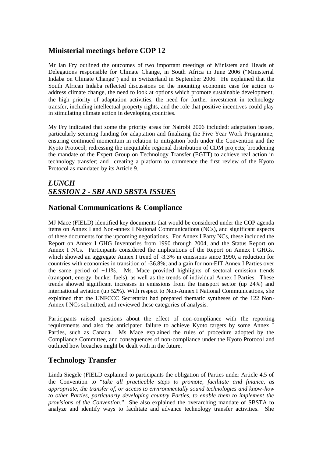## **Ministerial meetings before COP 12**

Mr Ian Fry outlined the outcomes of two important meetings of Ministers and Heads of Delegations responsible for Climate Change, in South Africa in June 2006 ("Ministerial Indaba on Climate Change") and in Switzerland in September 2006. He explained that the South African Indaba reflected discussions on the mounting economic case for action to address climate change, the need to look at options which promote sustainable development, the high priority of adaptation activities, the need for further investment in technology transfer, including intellectual property rights, and the role that positive incentives could play in stimulating climate action in developing countries.

My Fry indicated that some the priority areas for Nairobi 2006 included: adaptation issues, particularly securing funding for adaptation and finalizing the Five Year Work Programme; ensuring continued momentum in relation to mitigation both under the Convention and the Kyoto Protocol; redressing the inequitable regional distribution of CDM projects; broadening the mandate of the Expert Group on Technology Transfer (EGTT) to achieve real action in technology transfer; and creating a platform to commence the first review of the Kyoto Protocol as mandated by its Article 9.

## *LUNCH SESSION 2 - SBI AND SBSTA ISSUES*

## **National Communications & Compliance**

MJ Mace (FIELD) identified key documents that would be considered under the COP agenda items on Annex I and Non-annex I National Communications (NCs), and significant aspects of these documents for the upcoming negotiations. For Annex I Party NCs, these included the Report on Annex I GHG Inventories from 1990 through 2004, and the Status Report on Annex I NCs. Participants considered the implications of the Report on Annex I GHGs, which showed an aggregate Annex I trend of -3.3% in emissions since 1990, a reduction for countries with economies in transition of -36.8%; and a gain for non-EIT Annex I Parties over the same period of +11%. Ms. Mace provided highlights of sectoral emission trends (transport, energy, bunker fuels), as well as the trends of individual Annex I Parties. These trends showed significant increases in emissions from the transport sector (up 24%) and international aviation (up 52%). With respect to Non-Annex I National Communications, she explained that the UNFCCC Secretariat had prepared thematic syntheses of the 122 Non-Annex I NCs submitted, and reviewed these categories of analysis.

Participants raised questions about the effect of non-compliance with the reporting requirements and also the anticipated failure to achieve Kyoto targets by some Annex I Parties, such as Canada. Ms Mace explained the rules of procedure adopted by the Compliance Committee, and consequences of non-compliance under the Kyoto Protocol and outlined how breaches might be dealt with in the future.

## **Technology Transfer**

Linda Siegele (FIELD explained to participants the obligation of Parties under Article 4.5 of the Convention to "*take all practicable steps to promote, facilitate and finance, as appropriate, the transfer of, or access to environmentally sound technologies and know-how to other Parties, particularly developing country Parties, to enable them to implement the provisions of the Convention*." She also explained the overarching mandate of SBSTA to analyze and identify ways to facilitate and advance technology transfer activities. She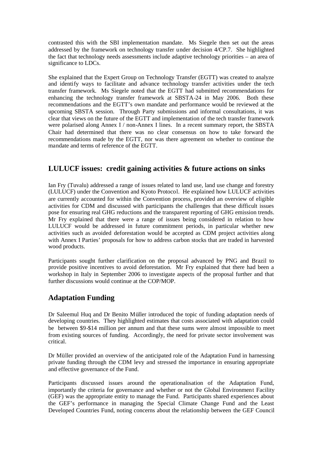contrasted this with the SBI implementation mandate. Ms Siegele then set out the areas addressed by the framework on technology transfer under decision 4/CP.7. She highlighted the fact that technology needs assessments include adaptive technology priorities – an area of significance to LDCs.

She explained that the Expert Group on Technology Transfer (EGTT) was created to analyze and identify ways to facilitate and advance technology transfer activities under the tech transfer framework. Ms Siegele noted that the EGTT had submitted recommendations for enhancing the technology transfer framework at SBSTA-24 in May 2006. Both these recommendations and the EGTT's own mandate and performance would be reviewed at the upcoming SBSTA session. Through Party submissions and informal consultations, it was clear that views on the future of the EGTT and implementation of the tech transfer framework were polarised along Annex I / non-Annex I lines. In a recent summary report, the SBSTA Chair had determined that there was no clear consensus on how to take forward the recommendations made by the EGTT, nor was there agreement on whether to continue the mandate and terms of reference of the EGTT.

## **LULUCF issues: credit gaining activities & future actions on sinks**

Ian Fry (Tuvalu) addressed a range of issues related to land use, land use change and forestry (LULUCF) under the Convention and Kyoto Protocol. He explained how LULUCF activities are currently accounted for within the Convention process, provided an overview of eligible activities for CDM and discussed with participants the challenges that these difficult issues pose for ensuring real GHG reductions and the transparent reporting of GHG emission trends. Mr Fry explained that there were a range of issues being considered in relation to how LULUCF would be addressed in future commitment periods, in particular whether new activities such as avoided deforestation would be accepted as CDM project activities along with Annex I Parties' proposals for how to address carbon stocks that are traded in harvested wood products.

Participants sought further clarification on the proposal advanced by PNG and Brazil to provide positive incentives to avoid deforestation. Mr Fry explained that there had been a workshop in Italy in September 2006 to investigate aspects of the proposal further and that further discussions would continue at the COP/MOP.

## **Adaptation Funding**

Dr Saleemul Huq and Dr Benito Müller introduced the topic of funding adaptation needs of developing countries. They highlighted estimates that costs associated with adaptation could be between \$9-\$14 million per annum and that these sums were almost impossible to meet from existing sources of funding. Accordingly, the need for private sector involvement was critical.

Dr Müller provided an overview of the anticipated role of the Adaptation Fund in harnessing private funding through the CDM levy and stressed the importance in ensuring appropriate and effective governance of the Fund.

Participants discussed issues around the operationalisation of the Adaptation Fund, importantly the criteria for governance and whether or not the Global Environment Facility (GEF) was the appropriate entity to manage the Fund. Participants shared experiences about the GEF's performance in managing the Special Climate Change Fund and the Least Developed Countries Fund, noting concerns about the relationship between the GEF Council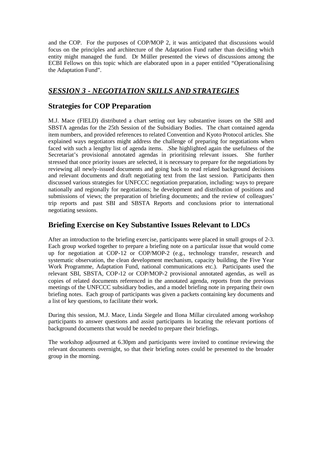and the COP. For the purposes of COP/MOP 2, it was anticipated that discussions would focus on the principles and architecture of the Adaptation Fund rather than deciding which entity might managed the fund. Dr Müller presented the views of discussions among the ECBI Fellows on this topic which are elaborated upon in a paper entitled "Operationalising the Adaptation Fund".

## *SESSION 3 - NEGOTIATION SKILLS AND STRATEGIES*

### **Strategies for COP Preparation**

M.J. Mace (FIELD) distributed a chart setting out key substantive issues on the SBI and SBSTA agendas for the 25th Session of the Subsidiary Bodies. The chart contained agenda item numbers, and provided references to related Convention and Kyoto Protocol articles. She explained ways negotiators might address the challenge of preparing for negotiations when faced with such a lengthy list of agenda items. .She highlighted again the usefulness of the Secretariat's provisional annotated agendas in prioritising relevant issues. She further stressed that once priority issues are selected, it is necessary to prepare for the negotiations by reviewing all newly-issued documents and going back to read related background decisions and relevant documents and draft negotiating text from the last session. Participants then discussed various strategies for UNFCCC negotiation preparation, including: ways to prepare nationally and regionally for negotiations; he development and distribution of positions and submissions of views; the preparation of briefing documents; and the review of colleagues' trip reports and past SBI and SBSTA Reports and conclusions prior to international negotiating sessions.

## **Briefing Exercise on Key Substantive Issues Relevant to LDCs**

After an introduction to the briefing exercise, participants were placed in small groups of 2-3. Each group worked together to prepare a briefing note on a particular issue that would come up for negotiation at COP-12 or COP/MOP-2 (e.g., technology transfer, research and systematic observation, the clean development mechanism, capacity building, the Five Year Work Programme, Adaptation Fund, national communications etc.). Participants used the relevant SBI, SBSTA, COP-12 or COP/MOP-2 provisional annotated agendas, as well as copies of related documents referenced in the annotated agenda, reports from the previous meetings of the UNFCCC subsidiary bodies, and a model briefing note in preparing their own briefing notes. Each group of participants was given a packets containing key documents and a list of key questions, to facilitate their work.

During this session, M.J. Mace, Linda Siegele and Ilona Millar circulated among workshop participants to answer questions and assist participants in locating the relevant portions of background documents that would be needed to prepare their briefings.

The workshop adjourned at 6.30pm and participants were invited to continue reviewing the relevant documents overnight, so that their briefing notes could be presented to the broader group in the morning.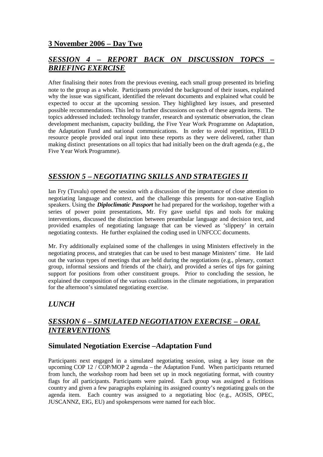## **3 November 2006 – Day Two**

## *SESSION 4 – REPORT BACK ON DISCUSSION TOPCS – BRIEFING EXERCISE*

After finalising their notes from the previous evening, each small group presented its briefing note to the group as a whole. Participants provided the background of their issues, explained why the issue was significant, identified the relevant documents and explained what could be expected to occur at the upcoming session. They highlighted key issues, and presented possible recommendations. This led to further discussions on each of these agenda items. The topics addressed included: technology transfer, research and systematic observation, the clean development mechanism, capacity building, the Five Year Work Programme on Adaptation, the Adaptation Fund and national communications. In order to avoid repetition, FIELD resource people provided oral input into these reports as they were delivered, rather than making distinct presentations on all topics that had initially been on the draft agenda (e.g., the Five Year Work Programme).

## *SESSION 5 – NEGOTIATING SKILLS AND STRATEGIES II*

Ian Fry (Tuvalu) opened the session with a discussion of the importance of close attention to negotiating language and context, and the challenge this presents for non-native English speakers. Using the *Diploclimatic Passport* he had prepared for the workshop, together with a series of power point presentations, Mr. Fry gave useful tips and tools for making interventions, discussed the distinction between preambular language and decision text, and provided examples of negotiating language that can be viewed as 'slippery' in certain negotiating contexts. He further explained the coding used in UNFCCC documents.

Mr. Fry additionally explained some of the challenges in using Ministers effectively in the negotiating process, and strategies that can be used to best manage Ministers' time. He laid out the various types of meetings that are held during the negotiations (e.g., plenary, contact group, informal sessions and friends of the chair), and provided a series of tips for gaining support for positions from other constituent groups. Prior to concluding the session, he explained the composition of the various coalitions in the climate negotiations, in preparation for the afternoon's simulated negotiating exercise.

## *LUNCH*

## *SESSION 6 – SIMULATED NEGOTIATION EXERCISE – ORAL INTERVENTIONS*

### **Simulated Negotiation Exercise –Adaptation Fund**

Participants next engaged in a simulated negotiating session, using a key issue on the upcoming COP  $12 / \overline{COP}$ /MOP 2 agenda – the Adaptation Fund. When participants returned from lunch, the workshop room had been set up in mock negotiating format, with country flags for all participants. Participants were paired. Each group was assigned a fictitious country and given a few paragraphs explaining its assigned country's negotiating goals on the agenda item. Each country was assigned to a negotiating bloc (e.g., AOSIS, OPEC, JUSCANNZ, EIG, EU) and spokespersons were named for each bloc.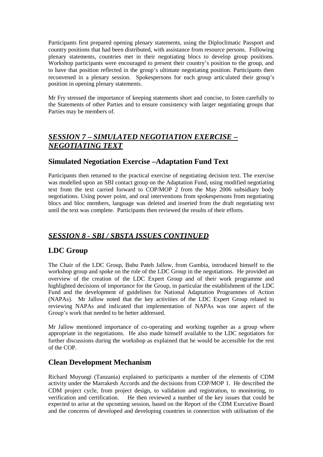Participants first prepared opening plenary statements, using the Diploclimatic Passport and country positions that had been distributed, with assistance from resource persons. Following plenary statements, countries met in their negotiating blocs to develop group positions. Workshop participants were encouraged to present their country's position to the group, and to have that position reflected in the group's ultimate negotiating position. Participants then reconvened in a plenary session. Spokespersons for each group articulated their group's position in opening plenary statements.

Mr Fry stressed the importance of keeping statements short and concise, to listen carefully to the Statements of other Parties and to ensure consistency with larger negotiating groups that Parties may be members of.

## *SESSION 7 – SIMULATED NEGOTIATION EXERCISE – NEGOTIATING TEXT*

## **Simulated Negotiation Exercise –Adaptation Fund Text**

Participants then returned to the practical exercise of negotiating decision text. The exercise was modelled upon an SBI contact group on the Adaptation Fund, using modified negotiating text from the text carried forward to COP/MOP 2 from the May 2006 subsidiary body negotiations. Using power point, and oral interventions from spokespersons from negotiating blocs and bloc members, language was deleted and inserted from the draft negotiating text until the text was complete. Participants then reviewed the results of their efforts.

## *SESSION 8 - SBI / SBSTA ISSUES CONTINUED*

## **LDC Group**

The Chair of the LDC Group, Bubu Pateh Jallow, from Gambia, introduced himself to the workshop group and spoke on the role of the LDC Group in the negotiations. He provided an overview of the creation of the LDC Expert Group and of their work programme and highlighted decisions of importance for the Group, in particular the establishment of the LDC Fund and the development of guidelines for National Adaptation Programmes of Action (NAPAs). Mr Jallow noted that the key activities of the LDC Expert Group related to reviewing NAPAs and indicated that implementation of NAPAs was one aspect of the Group's work that needed to be better addressed.

Mr Jallow mentioned importance of co-operating and working together as a group where appropriate in the negotiations. He also made himself available to the LDC negotiators for further discussions during the workshop as explained that he would be accessible for the rest of the COP.

### **Clean Development Mechanism**

Richard Muyungi (Tanzania) explained to participants a number of the elements of CDM activity under the Marrakesh Accords and the decisions from COP/MOP 1. He described the CDM project cycle, from project design, to validation and registration, to monitoring, to verification and certification. He then reviewed a number of the key issues that could be expected to arise at the upcoming session, based on the Report of the CDM Executive Board and the concerns of developed and developing countries in connection with utilisation of the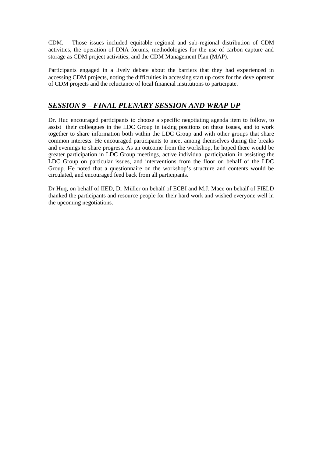CDM. Those issues included equitable regional and sub-regional distribution of CDM activities, the operation of DNA forums, methodologies for the use of carbon capture and storage as CDM project activities, and the CDM Management Plan (MAP).

Participants engaged in a lively debate about the barriers that they had experienced in accessing CDM projects, noting the difficulties in accessing start up costs for the development of CDM projects and the reluctance of local financial institutions to participate.

### *SESSION 9 – FINAL PLENARY SESSION AND WRAP UP*

Dr. Huq encouraged participants to choose a specific negotiating agenda item to follow, to assist their colleagues in the LDC Group in taking positions on these issues, and to work together to share information both within the LDC Group and with other groups that share common interests. He encouraged participants to meet among themselves during the breaks and evenings to share progress. As an outcome from the workshop, he hoped there would be greater participation in LDC Group meetings, active individual participation in assisting the LDC Group on particular issues, and interventions from the floor on behalf of the LDC Group. He noted that a questionnaire on the workshop's structure and contents would be circulated, and encouraged feed back from all participants.

Dr Huq, on behalf of IIED, Dr Müller on behalf of ECBI and M.J. Mace on behalf of FIELD thanked the participants and resource people for their hard work and wished everyone well in the upcoming negotiations.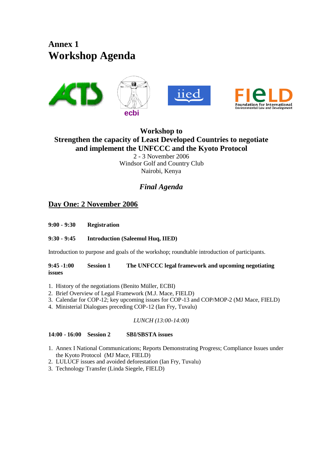**Annex 1 Workshop Agenda**



## **Workshop to Strengthen the capacity of Least Developed Countries to negotiate and implement the UNFCCC and the Kyoto Protocol** 2 - 3 November 2006 Windsor Golf and Country Club Nairobi, Kenya

## *Final Agenda*

## **Day One: 2 November 2006**

**9:00 - 9:30 Registration**

#### **9:30 - 9:45 Introduction (Saleemul Huq, IIED)**

Introduction to purpose and goals of the workshop; roundtable introduction of participants.

**9:45 -1:00 Session 1 The UNFCCC legal framework and upcoming negotiating issues**

- 1. History of the negotiations (Benito Müller, ECBI)
- 2. Brief Overview of Legal Framework (M.J. Mace, FIELD)
- 3. Calendar for COP-12; key upcoming issues for COP-13 and COP/MOP-2 (MJ Mace, FIELD)
- 4. Ministerial Dialogues preceding COP-12 (Ian Fry, Tuvalu)

#### *LUNCH (13:00-14:00)*

**14:00 - 16:00 Session 2 SBI/SBSTA issues**

- 1. Annex I National Communications; Reports Demonstrating Progress; Compliance Issues under the Kyoto Protocol (MJ Mace, FIELD)
- 2. LULUCF issues and avoided deforestation (Ian Fry, Tuvalu)
- 3. Technology Transfer (Linda Siegele, FIELD)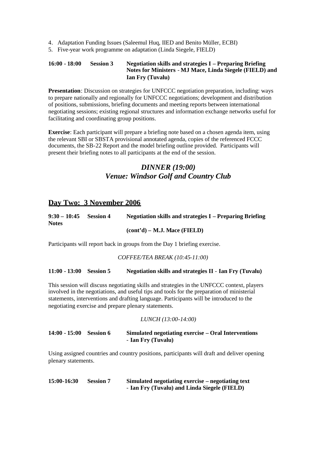- 4. Adaptation Funding Issues (Saleemul Huq, IIED and Benito Müller, ECBI)
- 5. Five-year work programme on adaptation (Linda Siegele, FIELD)

#### **16:00 - 18:00 Session 3 Negotiation skills and strategies I – Preparing Briefing Notes for Ministers** - **MJ Mace, Linda Siegele (FIELD) and Ian Fry (Tuvalu)**

**Presentation**: Discussion on strategies for UNFCCC negotiation preparation, including: ways to prepare nationally and regionally for UNFCCC negotiations; development and distribution of positions, submissions, briefing documents and meeting reports between international negotiating sessions; existing regional structures and information exchange networks useful for facilitating and coordinating group positions.

**Exercise**: Each participant will prepare a briefing note based on a chosen agenda item, using the relevant SBI or SBSTA provisional annotated agenda, copies of the referenced FCCC documents, the SB-22 Report and the model briefing outline provided. Participants will present their briefing notes to all participants at the end of the session.

## *DINNER (19:00) Venue: Windsor Golf and Country Club*

### **Day Two: 3 November 2006**

| $9:30 - 10:45$ | <b>Session 4</b> | <b>Negotiation skills and strategies I – Preparing Briefing</b> |
|----------------|------------------|-----------------------------------------------------------------|
| <b>Notes</b>   |                  |                                                                 |
|                |                  | (cont'd) – M.J. Mace (FIELD)                                    |

Participants will report back in groups from the Day 1 briefing exercise.

#### *COFFEE/TEA BREAK (10:45-11:00)*

#### **11:00 - 13:00 Session 5 Negotiation skills and strategies II** - **Ian Fry (Tuvalu)**

This session will discuss negotiating skills and strategies in the UNFCCC context, players involved in the negotiations, and useful tips and tools for the preparation of ministerial statements, interventions and drafting language. Participants will be introduced to the negotiating exercise and prepare plenary statements.

#### *LUNCH (13:00-14:00)*

#### **14:00 - 15:00 Session 6 Simulated negotiating exercise – Oral Interventions** - **Ian Fry (Tuvalu)**

Using assigned countries and country positions, participants will draft and deliver opening plenary statements.

**15:00-16:30 Session 7 Simulated negotiating exercise – negotiating text** - **Ian Fry (Tuvalu) and Linda Siegele (FIELD)**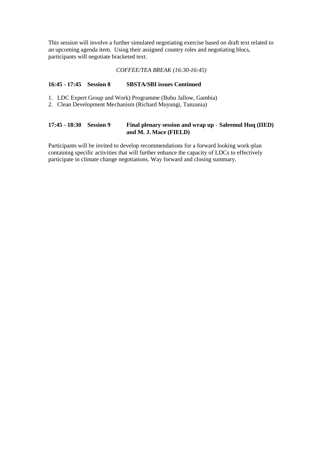This session will involve a further simulated negotiating exercise based on draft text related to an upcoming agenda item. Using their assigned country roles and negotiating blocs, participants will negotiate bracketed text.

#### *COFFEE/TEA BREAK (16:30-16:45)*

#### **16:45 - 17:45 Session 8 SBSTA/SBI issues Continued**

- 1. LDC Expert Group and Work) Programme (Bubu Jallow, Gambia)
- 2. Clean Development Mechanism (Richard Muyungi, Tanzania)

#### **17:45 - 18:30 Session 9 Final plenary session and wrap up** - **Saleemul Huq (IIED) and M. J. Mace (FIELD)**

Participants will be invited to develop recommendations for a forward looking work-plan containing specific activities that will further enhance the capacity of LDCs to effectively participate in climate change negotiations. Way forward and closing summary.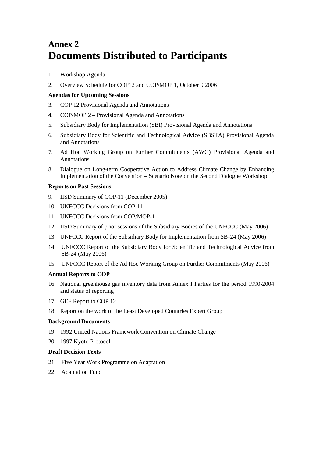## **Annex 2 Documents Distributed to Participants**

- 1. Workshop Agenda
- 2. Overview Schedule for COP12 and COP/MOP 1, October 9 2006

#### **Agendas for Upcoming Sessions**

- 3. COP 12 Provisional Agenda and Annotations
- 4. COP/MOP 2 Provisional Agenda and Annotations
- 5. Subsidiary Body for Implementation (SBI) Provisional Agenda and Annotations
- 6. Subsidiary Body for Scientific and Technological Advice (SBSTA) Provisional Agenda and Annotations
- 7. Ad Hoc Working Group on Further Commitments (AWG) Provisional Agenda and Annotations
- 8. Dialogue on Long-term Cooperative Action to Address Climate Change by Enhancing Implementation of the Convention – Scenario Note on the Second Dialogue Workshop

#### **Reports on Past Sessions**

- 9. IISD Summary of COP-11 (December 2005)
- 10. UNFCCC Decisions from COP 11
- 11. UNFCCC Decisions from COP/MOP-1
- 12. IISD Summary of prior sessions of the Subsidiary Bodies of the UNFCCC (May 2006)
- 13. UNFCCC Report of the Subsidiary Body for Implementation from SB-24 (May 2006)
- 14. UNFCCC Report of the Subsidiary Body for Scientific and Technological Advice from SB-24 (May 2006)
- 15. UNFCCC Report of the Ad Hoc Working Group on Further Commitments (May 2006)

#### **Annual Reports to COP**

- 16. National greenhouse gas inventory data from Annex I Parties for the period 1990-2004 and status of reporting
- 17. GEF Report to COP 12
- 18. Report on the work of the Least Developed Countries Expert Group

#### **Background Documents**

- 19. 1992 United Nations Framework Convention on Climate Change
- 20. 1997 Kyoto Protocol

#### **Draft Decision Texts**

- 21. Five Year Work Programme on Adaptation
- 22. Adaptation Fund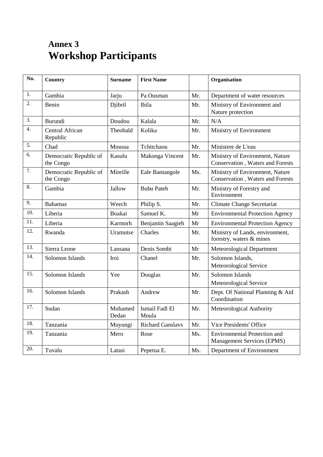## **Annex 3 Workshop Participants**

| No. | <b>Country</b>                      | <b>Surname</b>   | <b>First Name</b>       |     | Organisation                                                             |
|-----|-------------------------------------|------------------|-------------------------|-----|--------------------------------------------------------------------------|
| 1.  | Gambia                              | Jarju            | Pa Ousman               | Mr. | Department of water resources                                            |
| 2.  | Benin                               | Djibril          | Ibila                   | Mr. | Ministry of Environment and<br>Nature protection                         |
| 3.  | Burundi                             | Doudou           | Kalala                  | Mr. | N/A                                                                      |
| 4.  | Central African<br>Republic         | Theobald         | Kolika                  | Mr. | Ministry of Environment                                                  |
| 5.  | Chad                                | Moussa           | Tchitchaou              | Mr. | Ministere de L'eau                                                       |
| 6.  | Democratic Republic of<br>the Congo | Kasulu           | Makonga Vincent         | Mr. | Ministry of Environment, Nature<br>Conservation, Waters and Forests      |
| 7.  | Democratic Republic of<br>the Congo | Mireille         | Eale Bantangole         | Ms. | Ministry of Environment, Nature<br>Conservation, Waters and Forests      |
| 8.  | Gambia                              | Jallow           | <b>Bubu Pateh</b>       | Mr. | Ministry of Forestry and<br>Environment                                  |
| 9.  | <b>Bahamas</b>                      | Weech            | Philip S.               | Mr. | <b>Climate Change Secretariat</b>                                        |
| 10. | Liberia                             | Boakai           | Samuel K.               | Mr  | <b>Environmental Protection Agency</b>                                   |
| 11. | Liberia                             | Karmorh          | Benjamin Saagieh        | Mr  | <b>Environmental Protection Agency</b>                                   |
| 12. | Rwanda                              | Uramutse         | <b>Charles</b>          | Mr. | Ministry of Lands, environment,<br>forestry, waters & mines              |
| 13. | Sierra Leone                        | Lansana          | Denis Sombi             | Mr  | Meteorological Department                                                |
| 14. | Solomon Islands                     | Iroi             | Chanel                  | Mr. | Solomon Islands,<br>Meteorological Service                               |
| 15. | Solomon Islands                     | Yee              | Douglas                 | Mr. | Solomon Islands<br>Meteorological Service                                |
| 16. | Solomon Islands                     | Prakash          | Andrew                  | Mr. | Dept. Of National Planning & Aid<br>Coordination                         |
| 17. | Sudan                               | Mohamed<br>Dedan | Ismail Fadl El<br>Moula | Mr. | Meteorological Authority                                                 |
| 18. | Tanzania                            | Muyungi          | <b>Richard Ganslavs</b> | Mr. | Vice Presidents' Office                                                  |
| 19. | Tanzania                            | Mero             | Rose                    | Ms. | <b>Environmental Protection and</b><br><b>Management Services (EPMS)</b> |
| 20. | Tuvalu                              | Latasi           | Pepetua E.              | Ms. | Department of Environment                                                |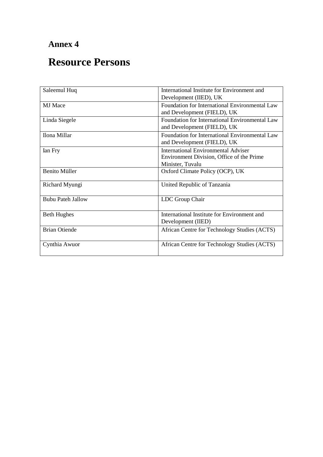## **Annex 4**

## **Resource Persons**

| Saleemul Huq             | International Institute for Environment and    |  |  |
|--------------------------|------------------------------------------------|--|--|
|                          | Development (IIED), UK                         |  |  |
| <b>MJ</b> Mace           | Foundation for International Environmental Law |  |  |
|                          | and Development (FIELD), UK                    |  |  |
| Linda Siegele            | Foundation for International Environmental Law |  |  |
|                          | and Development (FIELD), UK                    |  |  |
| Ilona Millar             | Foundation for International Environmental Law |  |  |
|                          | and Development (FIELD), UK                    |  |  |
| Ian Fry                  | International Environmental Adviser            |  |  |
|                          | Environment Division, Office of the Prime      |  |  |
|                          | Minister, Tuvalu                               |  |  |
| <b>Benito Müller</b>     | Oxford Climate Policy (OCP), UK                |  |  |
| Richard Myungi           | United Republic of Tanzania                    |  |  |
|                          |                                                |  |  |
| <b>Bubu Pateh Jallow</b> | LDC Group Chair                                |  |  |
| <b>Beth Hughes</b>       | International Institute for Environment and    |  |  |
|                          | Development (IIED)                             |  |  |
| <b>Brian Otiende</b>     | African Centre for Technology Studies (ACTS)   |  |  |
| Cynthia Awuor            | African Centre for Technology Studies (ACTS)   |  |  |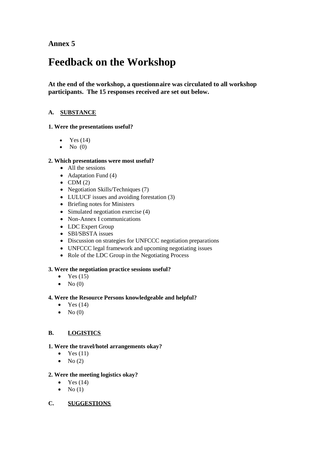**Annex 5**

## **Feedback on the Workshop**

**At the end of the workshop, a questionnaire was circulated to all workshop participants. The 15 responses received are set out below.**

#### **A. SUBSTANCE**

#### **1. Were the presentations useful?**

- $\bullet$  Yes (14)
- $\bullet$  No  $(0)$

#### **2. Which presentations were most useful?**

- All the sessions
- $\bullet$  Adaptation Fund (4)
- $\bullet$  CDM (2)
- Negotiation Skills/Techniques (7)
- LULUCF issues and avoiding forestation (3)
- Briefing notes for Ministers
- $\bullet$  Simulated negotiation exercise (4)
- Non-Annex I communications
- LDC Expert Group
- SBI/SBSTA issues
- Discussion on strategies for UNFCCC negotiation preparations
- UNFCCC legal framework and upcoming negotiating issues
- Role of the LDC Group in the Negotiating Process

#### **3. Were the negotiation practice sessions useful?**

- $\bullet$  Yes (15)
- $\bullet$  No (0)

#### **4. Were the Resource Persons knowledgeable and helpful?**

- $\bullet$  Yes (14)
- $\bullet$  No (0)

#### **B. LOGISTICS**

#### **1. Were the travel/hotel arrangements okay?**

- $\bullet$  Yes (11)
- $\bullet$  No (2)

#### **2. Were the meeting logistics okay?**

- $\bullet$  Yes (14)
- $\bullet$  No (1)
- **C. SUGGESTIONS**